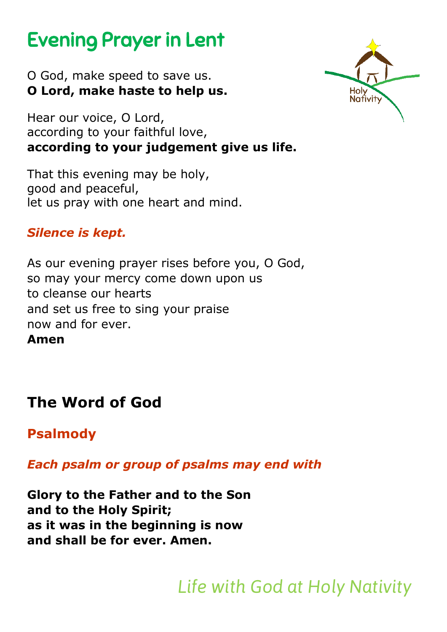# Evening Prayer in Lent

O God, make speed to save us. **O Lord, make haste to help us.**

Hear our voice, O Lord, according to your faithful love, **according to your judgement give us life.**

That this evening may be holy, good and peaceful, let us pray with one heart and mind.

# *Silence is kept.*

As our evening prayer rises before you, O God, so may your mercy come down upon us to cleanse our hearts and set us free to sing your praise now and for ever.

**Amen**

# **The Word of God**

**Psalmody**

*Each psalm or group of psalms may end with* 

**Glory to the Father and to the Son and to the Holy Spirit; as it was in the beginning is now and shall be for ever. Amen.** 

*Life with God at Holy Nativity*

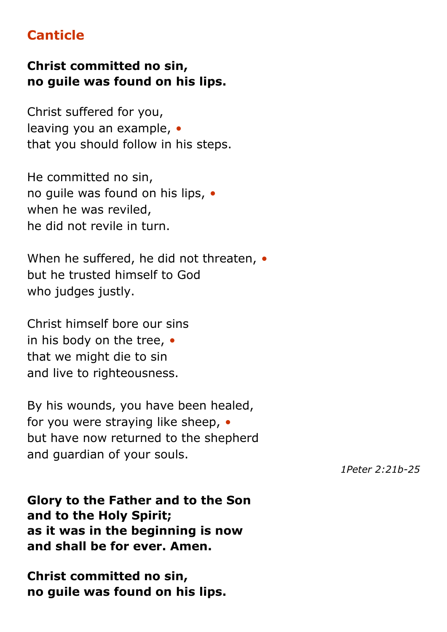# **Canticle**

### **Christ committed no sin, no guile was found on his lips.**

Christ suffered for you, leaving you an example, *•* that you should follow in his steps.

He committed no sin, no guile was found on his lips, *•* when he was reviled, he did not revile in turn.

When he suffered, he did not threaten, *•* but he trusted himself to God who judges justly.

Christ himself bore our sins in his body on the tree, *•* that we might die to sin and live to righteousness.

By his wounds, you have been healed, for you were straying like sheep, *•* but have now returned to the shepherd and guardian of your souls.

*1Peter 2:21b-25*

**Glory to the Father and to the Son and to the Holy Spirit; as it was in the beginning is now and shall be for ever. Amen.**

**Christ committed no sin, no guile was found on his lips.**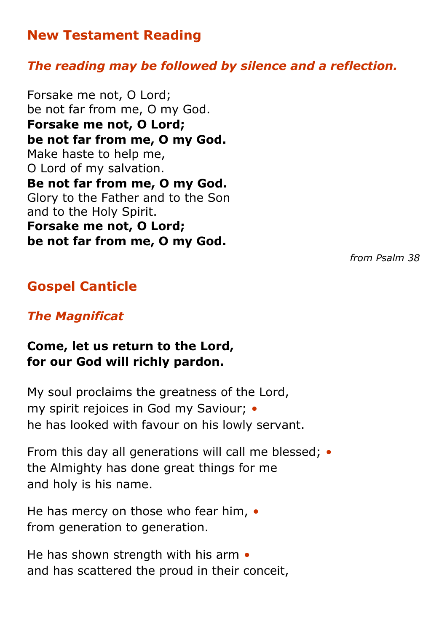# **New Testament Reading**

#### *The reading may be followed by silence and a reflection.*

Forsake me not, O Lord; be not far from me, O my God. **Forsake me not, O Lord; be not far from me, O my God.** Make haste to help me, O Lord of my salvation. **Be not far from me, O my God.** Glory to the Father and to the Son and to the Holy Spirit. **Forsake me not, O Lord; be not far from me, O my God.**

*from Psalm 38*

# **Gospel Canticle**

#### *The Magnificat*

#### **Come, let us return to the Lord, for our God will richly pardon.**

My soul proclaims the greatness of the Lord, my spirit rejoices in God my Saviour; *•* he has looked with favour on his lowly servant.

From this day all generations will call me blessed; *•* the Almighty has done great things for me and holy is his name.

He has mercy on those who fear him, *•* from generation to generation.

He has shown strength with his arm *•* and has scattered the proud in their conceit,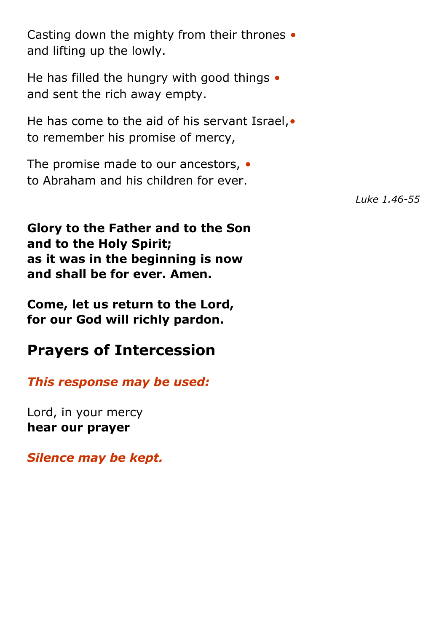Casting down the mighty from their thrones *•* and lifting up the lowly.

He has filled the hungry with good things *•* and sent the rich away empty.

He has come to the aid of his servant Israel,*•* to remember his promise of mercy,

The promise made to our ancestors, *•* to Abraham and his children for ever.

**Glory to the Father and to the Son and to the Holy Spirit; as it was in the beginning is now and shall be for ever. Amen.**

**Come, let us return to the Lord, for our God will richly pardon.**

# **Prayers of Intercession**

*This response may be used:*

Lord, in your mercy **hear our prayer**

*Silence may be kept.*

*Luke 1.46-55*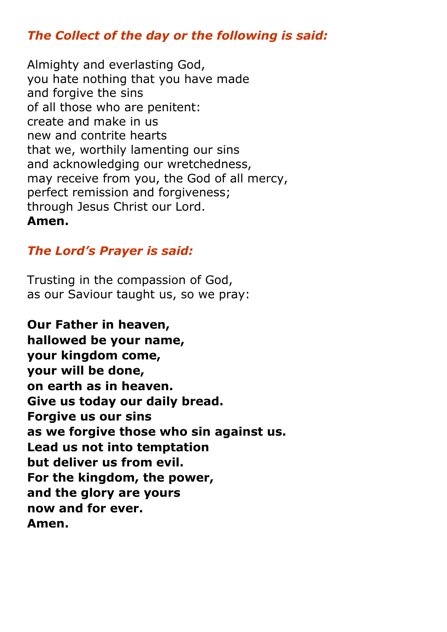## *The Collect of the day or the following is said:*

Almighty and everlasting God, you hate nothing that you have made and forgive the sins of all those who are penitent: create and make in us new and contrite hearts that we, worthily lamenting our sins and acknowledging our wretchedness, may receive from you, the God of all mercy, perfect remission and forgiveness; through Jesus Christ our Lord. **Amen.**

### *The Lord's Prayer is said:*

Trusting in the compassion of God, as our Saviour taught us, so we pray:

**Our Father in heaven, hallowed be your name, your kingdom come, your will be done, on earth as in heaven. Give us today our daily bread. Forgive us our sins as we forgive those who sin against us. Lead us not into temptation but deliver us from evil. For the kingdom, the power, and the glory are yours now and for ever. Amen.**